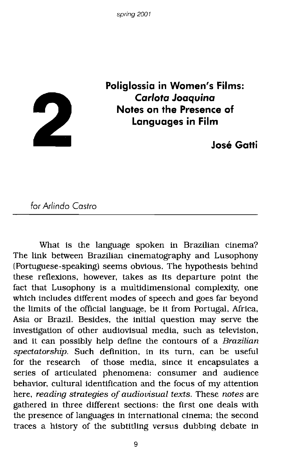

**Poliglossia in Women's Films:** *Carlota* **Joaquina Notes on the Presence of Languages in Film**

**Jose Gatti**

*for Arlinda Castro*

What is the language spoken in Brazilian cinema? The link between Brazilian cinematography and Lusophony (Portuguese-speaking) seems obvious. The hypothesis behind these reflexions, however, takes as its departure point the fact that Lusophony is a multidimensional complexity, one which includes different modes of speech and goes far beyond the limits of the official language, be it from Portugal, Mrica, Asia or Brazil. Besides, the initial question may serve the investigation of other audiovisual media, such as television, and it can possibly help define the contours of a *Brazilian spectatorship.* Such definition, in its turn, can be useful for the research of those media, since it encapsulates a series of articulated phenomena: consumer and audience behavior, cultural identification and the focus of my attention here, *reading strategies of audiovisual texts.* These *notes* are gathered in three different sections: the first one deals with the presence of languages in international cinema; the second traces a history of the subtitling versus dubbing debate in

9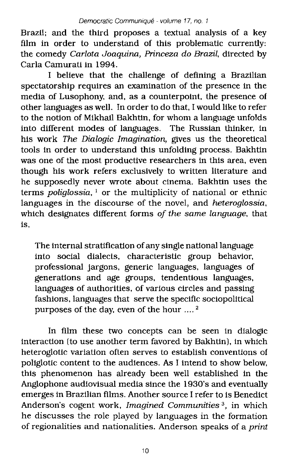Brazil; and the third proposes a textual analysis of a key film in order to understand of this problematic currently: the comedy *Carlota Joaquinn, Princeza* do *Brazil,* directed by Carla Camurati in 1994.

I believe that the challenge of defining a Brazilian spectatorship requires an examination of the presence in the media of Lusophony, and, as a counterpoint, the presence of other languages as well. In order to do that, I would like to refer to the notion of Mikhail Bakhtin, for whom a language unfolds into different modes of languages. The Russian thinker, in his work *The Dialogic Imaginntion,* gives us the theoretical tools in order to understand this unfolding process. Bakhtin was one of the most productive researchers in this area, even though his work refers exclusively to written literature and he supposedly never wrote about cinema. Bakhtin uses the terms *poliglossia.* <sup>1</sup> or the multiplicity of national or ethnic languages in the discourse of the novel, and *heteroglossia,* which designates different forms *of the same language,* that is,

The internal stratification of any single national language into social dialects, characteristic group behavior, professional jargons, generic languages, languages of generations and age groups, tendentious languages, languages of authorities, of various circles and passing fashions, languages that serve the specific sociopolitical purposes of the day. even of the hour .... <sup>2</sup>

In film these two concepts can be seen in dialogic interaction (to use another term favored by Bakhtin), in which heteroglotic variation often serves to establish conventions of poliglotic content to the audiences. As I intend to show below, this phenomenon has already been well established in the Anglophone audiovisual media since the 1930's and eventually emerges in Brazilian films. Another source I refer to is Benedict Anderson's cogent work, *Imagined Communities* 3, in which he discusses the role played by languages in the formation of regionalities and nationalities. Anderson speaks of a *print*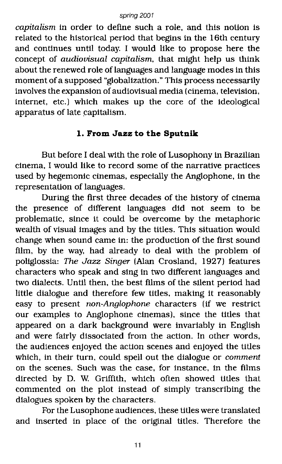*capitalism* in order to define such a role, and this notion is related to the historical period that begins in the 16th century and continues until today. I would like to propose here the concept of *audiovisual capitalism.* that might help us think about the renewed role of languages and language modes in this moment of a supposed "globalization." This process necessarily involves the expanSion of audiovisual media (cinema, television, internet, etc.) which makes up the core of the ideological apparatus of late capitalism.

## **1. From Jazz to the Sputnik**

But before I deal with the role of Lusophony in Brazilian cinema. I would like to record some of the narrative practices used by hegemonic cinemas. especially the Anglophone, in the representation of languages.

During the first three decades of the history of cinema the presence of different languages did not seem to be problematic, since it could be overcome by the metaphoric wealth of visual images and by the titles. This situation would change when sound came in: the production of the first sound film, by the way, had already to deal with the problem of poliglossia: The *Jazz* Singer (Alan Crosland, 1927) features characters who speak and sing in two different languages and two dialects. Until then, the best films of the silent period had little dialogue and therefore few titles, making it reasonably easy to present *rwn-Anglophone* characters (if we restrict our examples to Anglophone cinemas), since the titles that appeared on a dark background were invariably in English and were fairly dissociated from the action. In other words, the audiences enjoyed the action scenes and enjoyed the titles which, in their turn, could spell out the dialogue or *comment* on the scenes. Such was the case, for instance, in the films directed by D. W. Griffith, which often showed titles that commented on the plot instead of simply transcribing the dialogues spoken by the characters.

For the Lusophone audiences, these titles were translated and inserted in place of the original titles. Therefore the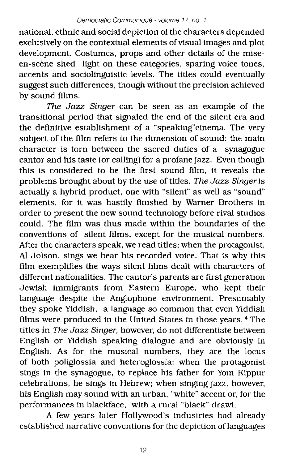national, ethnic and social depiction of the characters depended exclusively on the contextual elements of visual images and plot development. Costumes, props and other details of the miseen-scène shed light on these categories, sparing voice tones, accents and sociolinguistic levels. The titles could eventually suggest such differences, though without the precision achieved by sound films.

*The Jazz Singer* can be seen as an example of the transitional period that signaled the end of the silent era and the definitive establishment of a "speaking"cinema. The very subject of the film refers to the dimension of sound: the main character is torn between the sacred duties of a synagogue cantor and his taste (or calling) for a profane jazz. Even though this is considered to be the first sound film, it reveals the problems brought about by the use of titles. *The Jazz Singer*is actually a hybrid product. one with "silent" as well as "sound" elements, for it was hastily finished by Warner Brothers in order to present the new sound technology before rival studios could. The film was thus made within the boundaries of the conventions of silent films, except for the musical numbers. After the characters speak, we read titles; when the protagonist, AI Jolson, sings we hear his recorded voice. That is why this film exemplifies the ways silent films dealt with characters of different nationalities. The cantor's parents are first generation Jewish immigrants from Eastern Europe, who kept their language despite the Anglophone environment. Presumably they spoke Yiddish, a language so common that even Yiddish films were produced in the United States in those years. <sup>4</sup> The titles in *The Jazz Singer,* however, do not differentiate between English or Yiddish speaking dialogue and are obviously in English. As for the musical numbers, they are the locus of both poliglossia and heteroglossia: when the protagonist sings in the synagogue, to replace his father for Yom Kippur celebrations, he sings in Hebrew; when singing jazz, however, his English may sound with an urban, "white" accent or, for the performances in blackface, with a rural "black" drawl.

A few years later Hollywood's industries had already established narrative conventions for the depiction of languages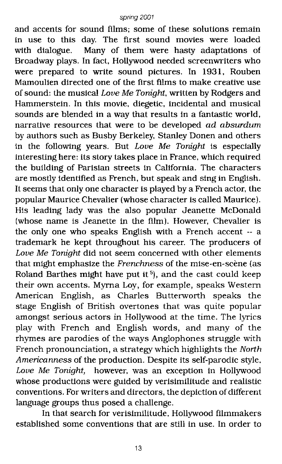and accents for sound films; some of these solutions remain in use to this day. The first sound movies were loaded with dialogue. Many of them were hasty adaptations of Broadway plays. In fact. Hollywood needed screenwriters who were prepared to write sound pictures. In 1931. Rouben Mamoulien directed one of the first films to make creative use of sound: the musical Love Me Tonight, written by Rodgers and Hammerstein. In this movie. diegetic. incidental and musical sounds are blended in a way that results in a fantastic world. narrative resources that were to be developed ad absurdum by authors such as Busby Berkeley. Stanley Donen and others in the following years. But Love Me Tonight is especially interesting here: its story takes place in France, which required the building of Parisian streets in California. The characters are mostly identified as French. but speak and sing in English. It seems that only one character is played by a French actor. the popular Maurice Chevalier (whose character is called Maurice). His leading lady was the also popular Jeanette McDonald (whose name is Jeanette in the film). However. Chevalier is the only one who speaks English with a French accent -- a trademark he kept throughout his career. The producers of Love Me Tonight did not seem concerned with other elements that might emphasize the Frenchness of the mise-en-scène (as Roland Barthes might have put it<sup>5</sup>), and the cast could keep their own accents. Myrna Loy, for example, speaks Western American English, as Charles Butterworth speaks the stage English of British overtones that was quite popular amongst serious actors in Hollywood at the time. The lyrics play with French and English words, and many of the rhymes are parodies of the ways Anglophones struggle with French pronounciation, a strategy which highlights the North Americanness of the production. Despite its self-parodic style. Love Me Tonight, however. was an exception in Hollywood whose productions were guided by verisimilitude and realistic conventions. For writers and directors, the depiction of different language groups thus posed a challenge.

In that search for verisimilitude. Hollywood filmmakers established some conventions that are still in use. In order to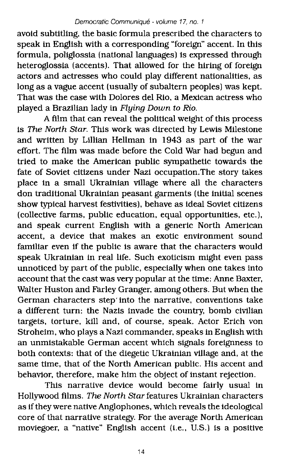avoid subtitling, the basic formula prescribed the characters to speak in English with a corresponding "foreign" accent. In this formula, poliglossia {national languages) is expressed through heteroglossia (accents). That allowed for the hiring of foreign actors and actresses who could play different nationalities, as long as a vague accent (usually of subaltern peoples) was kept. That was the case with Dolores del Rio. a Mexican actress who played a Brazilian lady in *Flying* Down to Rio.

A film that can reveal the political weight of this process is The North Star. This work was directed by Lewis Milestone and written by Lillian Hellman in 1943 as part of the war effort. The film was made before the Cold War had begun and tried to make the American public sympathetic towards the fate of Soviet citizens under Nazi occupation.The story takes place in a small Ukrainian village where all the characters don traditional Ukrainian peasant garments (the initial scenes show typical harvest festivities). behave as ideal Soviet citizens (collective farms, public education. equal opportunities, etc.), and speak current English with a generic North American accent. a device that makes an exotic environment sound familiar even if the public is aware that the characters would speak Ukrainian in real life. Such exoticism might even pass unnoticed by part of the public, especially when one takes into account that the cast was very popular at the time: Anne Baxter, Walter Huston and Farley Granger. among others. But when the German characters step'into the narrative, conventions take a different turn: the Nazis invade the country, bomb civilian targets, torture, kill and, of course, speak. Actor Erich von Stroheim, who plays a Nazi commander. speaks in English with an unmistakable German accent which signals foreignness to both contexts: that of the diegetic Ukrainian village and, at the same time. that of the North American public. His accent and behavior, therefore, make him the object of instant rejection.

This narrative device would become fairly usual in Hollywood films. The North Star features Ukrainian characters as if they were native Anglophones, which reveals the ideological core of that narrative strategy. For the average North American moviegoer, a "native" English accent (Le., U.S.) is a positive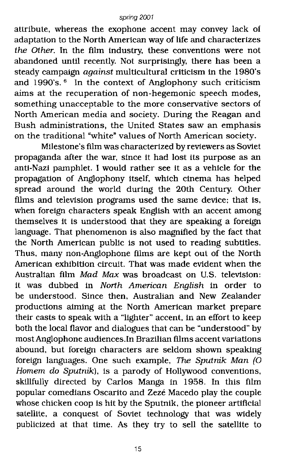attribute, whereas the exophone accent may convey lack of adaptation to the North American way of life and characterizes the Other. In the film industry, these conventions were not abandoned until recently. Not surprisingly, there has been a steady campaign against multicultural criticism in the 1980's and 1990's. <sup>6</sup> In the context of Anglophony such criticism aims at the recuperation of non-hegemonic speech modes, something unacceptable to the more conservative sectors of North American media and society. During the Reagan and Bush administrations, the United States saw an emphasis on the traditional "white" values of North American society.

Milestone's film was characterized by reviewers as Soviet propaganda after the war, since it had lost its purpose as an anti-Nazi pamphlet. I would rather see it as a vehicle for the propagation of Anglophony itself, which cinema has helped spread around the world during the 20th Century. Other films and television programs used the same device; that is, when foreign characters speak English with an accent among themselves it is understood that they are speaking a foreign language. That phenomenon is also magnified by the fact that the North American public is not used to reading subtitles. Thus, many non-Anglophone films are kept out of the North American exhibition circuit. That was made evident when the Australian film Mad Max was broadcast on U.S. television: it was dubbed in North American English in order to be understood. Since then, Australian and New Zealander productions aiming at the North American market prepare their casts to speak with a "lighter" accent, in an effort to keep both the local flavor and dialogues that can be "understood" by most Anglophone audiences.In BraZilian films accent variations abound, but foreign characters are seldom shown speaking foreign languages. One such example, The Sputnik Man (0 Homem do Sputnik), is a parody of Hollywood conventions, skillfully directed by Carlos Manga in 1958. In this film popular comedians Oscarito and Zeze Macedo play the couple whose chicken coop is hit by the Sputnik, the pioneer artificial satellite, a conquest of Soviet technology that was widely publicized at that time. As they try to sell the satellite to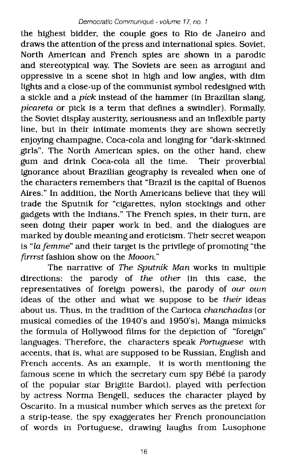the highest bidder, the couple goes to Rio de Janeiro and draws the attention of the press and international spies. Soviet, North American and French spies are shown in a parodic and stereotypical way. The Soviets are seen as arrogant and oppressive in a scene shot in high and low angles, with dim lights and a close-up of the communist symbol redesigned with a sickle and a *pick* instead of the hammer (in Brazilian slang, *picareta* or pick is a term that defines a swindler). Formally, the Soviet display austerity. seriousness and an inflexible party line, but in their intimate moments they are shown secretly enjoying champagne, Coca-cola and longing for "dark-skinned girls". The North American spies. on the other hand, chew gum and drink Coca-cola all the time. Their proverbial ignorance about Brazilian geography is revealed when one of the characters remembers that "Brazil is the capital of Buenos Aires." In addition. the North Americans believe that they will trade the Sputnik for "cigarettes. nylon stockings and other gadgets with the Indians." The French spies, in their turn, are seen doing their paper work in bed, and the dialogues are marked by double meaning and eroticism. Their secret weapon is "fa *femme"* and their target is the privilege of promoting "the *firrrst* fashion show on the *Mooon."*

The narrative of *The Sputnik Man* works in multiple directions: the parody of *the other* (in this case, the representatives of foreign powers), the parody of *our own* ideas of the other and what we suppose to be *their* ideas about us. Thus, in the tradition of the Carioca *chanchadas* (or musical comedies of the 1940's and 1950's), Manga mimicks the formula of Hollywood films for the depiction of "foreign" languages. Therefore, the characters speak *Portuguese* with accents, that is, what are supposed to be Russian, English and French accents. As an example, it is worth mentioning the famous scene in which the secretary cum spy Bébé (a parody of the popular star Brigitte Bardot), played with perfection by actress Norma Bengell, seduces the character played by Oscarito. In a musical number which serves as the pretext for a strip-tease, the spy exaggerates her French pronounciation of words in Portuguese, drawing laughs from Lusophone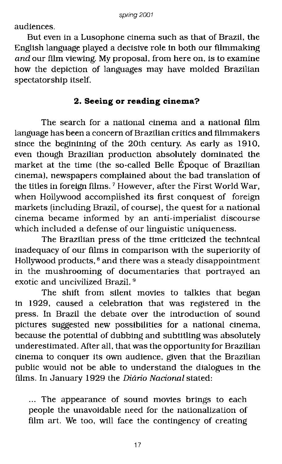audiences.

But even in a Lusophone cinema such as that of Brazil. the English language played a decisive role in both our filmmaking *and* our film viewing. My proposal, from here on, is to examine how the depiction of languages may have molded Brazilian spectatorship itself.

## **2. Seeing or reading cinema?**

The search for a national cinema and a national film language has been a concern of Brazilian critics and filmmakers since the beginining of the 20th century. As early as 1910, even though Brazilian production absolutely dominated the market at the time (the so-called Belle Epoque of Brazilian cinema), newspapers complained about the bad translation of the titles in foreign films. <sup>7</sup> However, after the First World War, when Hollywood accomplished its first conquest of foreign markets (including Brazil, of course), the quest for a national cinema became informed by an anti-imperialist discourse which included a defense of our linguistic uniqueness.

The Brazilian press of the time criticized the technical inadequacy of our films in comparison with the superiority of Hollywood products, <sup>8</sup> and there was a steady disappointment in the mushrooming of documentaries that portrayed an exotic and uncivilized Brazil. <sup>9</sup>

The shift from silent movies to talkies that began in 1929, caused a celebration that was registered in the press. In Brazil the debate over the introduction of sound pictures suggested new possibilities for a national cinema, because the potential of dubbing and subtitling was absolutely underestimated. After all, that was the opportunity for Brazilian cinema to conquer its own audience. given that the Brazilian public would not be able to understand the dialogues in the films. In January 1929 the Diario Nacional stated:

... The appearance of sound movies brings to each people the unavoidable need for the nationalization of film art. We too, will face the contingency of creating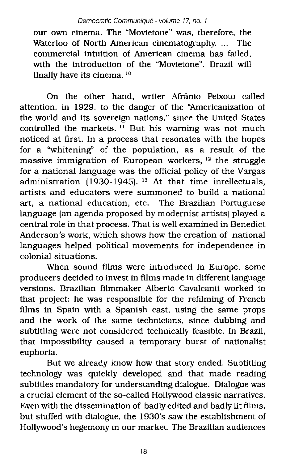our own cinema. The "Movietone" was, therefore. the Waterloo of North American cinematography. ... The commercial intuition of American cinema has failed, with the introduction of the "Movietone". Brazil will finally have its cinema. <sup>10</sup>

On the other hand, writer Afrânio Peixoto called attention, in 1929, to the danger of the "Americanization of the world and its sovereign nations," since the United States controlled the markets.  $11$  But his warning was not much noticed at first. In a process that resonates with the hopes for a "whitening" of the population, as a result of the massive immigration of European workers, <sup>12</sup> the struggle for a national language was the official policy of the Vargas administration  $(1930-1945)$ . <sup>13</sup> At that time intellectuals, artists and educators were summoned to build a national art, a national education, etc. The Brazilian Portuguese language (an agenda proposed by modernist artists) played a central role in that process. That is well examined in Benedict Anderson's work, which shows how the creation of national languages helped political movements for independence in colonial situations.

When sound films were introduced in Europe. some producers decided to invest in films made in different language versions. Brazilian filmmaker Alberto Cavalcanti worked in that project: he was responsible for the refilming of French films in Spain with a Spanish cast, using the same props and the work of the same technicians, since dubbing and subtitling were not considered technically feasible. In Brazil, that impossibility caused a temporary burst of nationalist euphoria.

But we already know how that story ended. Subtitling technology was qUickly developed and that made reading subtitles mandatory for understanding dialogue. Dialogue was a crucial element of the so-called Hollywood classic narratives. Even with the dissemination of badly edited and badly lit films, but stuffed with dialogue. the 1930's saw the establishment of Hollywood's hegemony in our market. The Brazilian audiences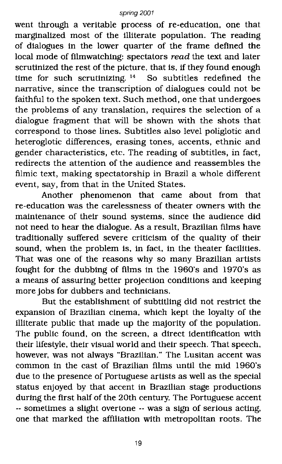went through a veritable process of re-education, one that marginalized most of the illiterate population. The reading of dialogues in the lower quarter of the frame defined the local mode of filmwatching: spectators *read* the text and later scrutinized the rest of the picture, that is, if they found enough time for such scrutinizing. <sup>14</sup> So subtitles redefined the narrative, since the transcription of dialogues could not be faithful to the spoken text. Such method, one that undergoes the problems of any translation, requires the selection of a dialogue fragment that will be shown with the shots that correspond to those lines. Subtitles also level poliglotic and heteroglotic differences, erasing tones, accents, ethnic and gender characteristics, etc. The reading of subtitles, in fact, redirects the attention of the audience and reassembles the filmic text, making spectatorship in Brazil a whole different event, say, from that in the United States.

Another phenomenon that came about from that re-education was the carelessness of theater owners with the maintenance of their sound systems. since the audience did not need to hear the dialogue. As a result. Brazilian films have traditionally suffered severe criticism of the quality of their sound, when the problem is. in fact. in the theater facilities. That was one of the reasons why so many Brazilian artists fought for the dubbing of films in the 1960's and 1970's as a means of assuring better projection conditions and keeping more jobs for dubbers and technicians.

But the establishment of SUbtitling did not restrict the expansion of Brazilian cinema. which kept the loyalty of the illiterate public that made up the majority of the population. The public found. on the screen. a direct identification with their lifestyle, their visual world and their speech. That speech. however, was not always "Brazilian." The Lusitan accent was common in the cast of Brazilian films until the mid 1960's due to the presence of Portuguese artists as well as the special status enjoyed by that accent in Brazilian stage productions during the first half of the 20th century. The Portuguese accent -- sometimes a slight overtone -- was a sign of serious acting. one that marked the affiliation with metropolitan roots. The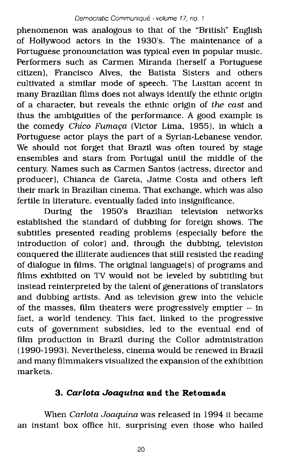phenomenon was analogous to that of the "British" English of Hollywood actors in the 1930's. The maintenance of a Portuguese pronounciation was typical even in popular music. Performers such as Carmen Miranda (herself a Portuguese citizen), Francisco Alves, the Batista Sisters and others cultivated a similar mode of speech. The Lusitan accent in many Brazilian films does not always identify the ethnic origin of a character, but reveals the ethnic origin of *the cast* and thus the ambiguities of the performance. A good example is the comedy *Chico Fumaça* (Victor Lima, 1955), in which a Portuguese actor plays the part of a Syrian-Lebanese vendor. We should not forget that Brazil was often toured by stage ensembles and stars from Portugal until the middle of the century. Names such as Carmen Santos (actress, director and producer), Chianca de Garcia, Jaime Costa and others left their mark in Brazilian cinema. That exchange, which was also fertile in literature, eventually faded into insignificance.

During the 1950's Brazilian television networks established the standard of dubbing for foreign shows. The subtitles presented reading problems (especially before the introduction of color) and, through the dubbing, television conquered the illiterate audiences that still resisted the reading of dialogue in films. The original language(s) of programs and films exhibited on TV would not be leveled by subtitling but instead reinterpreted by the talent of generations of translators and dubbing artists. And as television grew into the vehicle of the masses, film theaters were progressively emptier -- in fact, a world tendency. This fact, linked to the progressive cuts of government subsidies, led to the eventual end of film production in Brazil during the Collor administration (1990-1993). Nevertheless, cinema would be renewed in Brazil and many filmmakers visualized the expansion of the exhibition markets.

# *3. Carlota Joaquina* **and the Retomada**

When *Carlota Joaquina* was released in 1994 it became an instant box office hit, surprising even those who hailed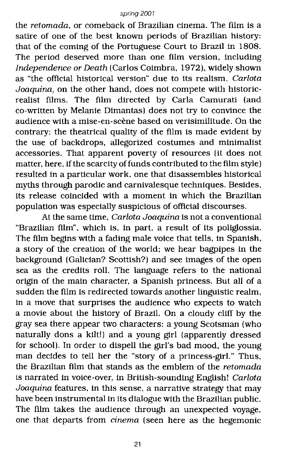the *retomada,* or comeback of Brazilian cinema. The fIlm is a satire of one of the best known periods of Brazilian history: that of the coming of the Portuguese Court to Brazil in 1808. The period deserved more than one film version, including *Independence or Death* (Carlos Coimbra, 1972), widely shown as "the official historical version" due to its realism. *Carlota Joaquina,* on the other hand, does not compete with historicrealist films. The film directed by Carla Camurati (and co-written by Melanie Dimantas) does not try to convince the audience with a mise-en-scène based on verisimilitude. On the contrary: the theatrical quality of the film is made evident by the use of backdrops, allegorized costumes and minimalist accessories. That apparent poverty of resources (it does not matter, here, if the scarcity of funds contributed to the film style) resulted in a particular work, one that disassembles historical myths through parodic and carnivalesque techniques. Besides, its release coincided with a moment in which the Brazilian population was especially suspicious of official discourses.

At the same time. *Carlota Joaquina* is not a conventional "Brazilian film". which is, in part, a result of its poliglossia. The film begins with a fading male voice that tells, in Spanish, a story of the creation of the world; we hear bagpipes In the background (Galician? Scottish?) and see images of the open sea as the credits roll. The language refers to the national origin of the main character, a Spanish princess. But all of a sudden the film is redirected towards another linguistic realm, in a move that surprises the audience who expects to watch a movie about the history of Brazil. On a cloudy cliff by the gray sea there appear two characters: a young Scotsman (who naturally dons a kilt!) and a young girl (apparently dressed for school). In order to dispell the girl'S bad mood, the young man decides to tell her the "story of a princess-girl." Thus. the Brazilian film that stands as the emblem of the *retomada* is narrated in voice-over, in British-sounding English! *Carlota Joaquina* features, in this sense, a narrative strategy that may have been instrumental in its dialogue with the Brazilian public. The film takes the audience through an unexpected voyage, one that departs from *cinema* (seen here as the hegemonic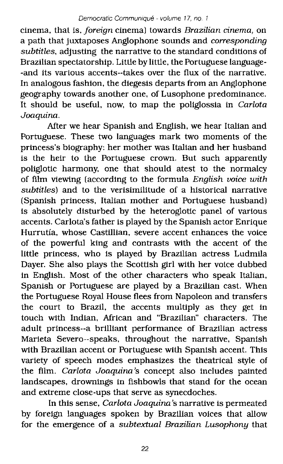cinema, that is, *foreign* cinema) towards *Brazilian cinema,* on a path that juxtaposes Anglophone sounds and *corresponding subtitles,* adjusting the narrative to the standard conditions of Brazilian spectatorship. Little by little, the Portuguese language- -and its various accents--takes over the flux of the narrative. In analogous fashion, the diegesis departs from an Anglophone geography towards another one, of Lusophone predominance. It should be useful, now, to map the poliglossia in *Carlota Joaquina.*

After we hear Spanish and English, we hear Italian and Portuguese. These two languages mark two moments of the princess's biography: her mother was Italian and her husband is the heir to the Portuguese crown. But such apparently poliglotic harmony, one that should atest to the normalcy of film viewing (according to the formula *English voice with subtitles)* and to the verisimilitude of a historical narrative (Spanish princess, Italian mother and Portuguese husband) is absolutely disturbed by the heteroglotic panel of various accents. Carlota's father is played by the Spanish actor Enrique Hurrutia, whose Castillian, severe accent enhances the voice of the powerful king and contrasts with the accent of the little princess, who is played by Brazilian actress Ludmila Dayer. She also plays the Scottish girl with her voice dubbed in English. Most of the other characters who speak Italian, Spanish or Portuguese are played by a Brazilian cast. When the Portuguese Royal House flees from Napoleon and transfers the court to Brazil, the accents multiply as they get in touch with Indian, African and "BraZilian" characters. The adult princess--a brilliant performance of Brazilian actress Marieta Severo--speaks, throughout the narrative, Spanish with Brazilian accent or Portuguese with Spanish accent. This variety of speech modes emphasizes the theatrical style of the film. *Carlota Joaquina's* concept also includes painted landscapes, drownings in fishbowls that stand for the ocean and extreme close-ups that serve as synecdoches.

In this sense, *Carlota Joaquina's* narrative is permeated by foreign languages spoken by Brazilian voices that allow for the emergence of a *subtextual Brazilian Lusophony* that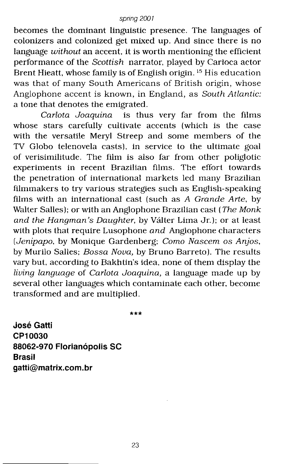becomes the dominant linguistic presence. The languages of colonizers and colonized get mixed up. And since there is no language *without* an accent, it is worth mentioning the efficient performance of the *Scottish* narrator, played by Carioca actor Brent Hieatt, whose family is of English origin. <sup>15</sup> His education was that of many South Americans of British origin, whose Anglophone accent is known, in England, as *South Atlantic:* a tone that denotes the emigrated.

*Carlota Joaquina* is thus very far from the films whose stars carefully cultivate accents (which is the case with the versatile Meryl Streep and some members of the TV Globo telenovela casts), in service to the ultimate goal of verisimilitude. The film is also far from other poliglotic experiments in recent Brazilian films. The effort towards the penetration of international markets led many Brazilian filmmakers to try various strategies such as English-speaking films with an international cast (such as *A Grande Arte,* by Walter Salles); or with an Anglophone Brazilian cast *(The Monk and the Hangman's Daughter,* by VaIter Lima Jr.); or at least with plots that require Lusophone *and* Anglophone characters *(Jenipapo,* by Monique Gardenberg; *Como Nascem* os *Anjos,* by Murilo Salles; *Bossa Nova,* by Bruno Barreto). The results vary but, according to Bakhtin's idea, none of them display the *living language* of *Carlota Joaquina,* a language made up by several other languages which contaminate each other, become transformed and are multiplied.

**\*\*\***

**Jose Gatti CP10030 88062-970 Florianopolis SC Brasil gatti@matrix.com.br**